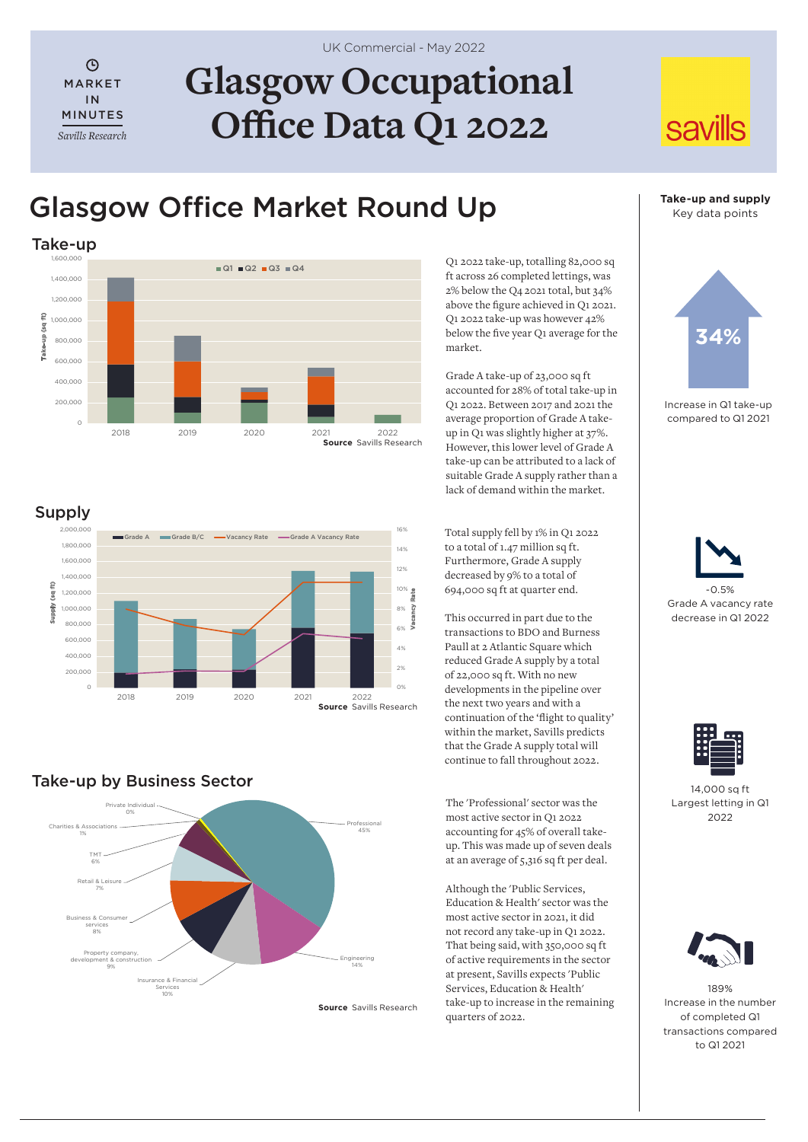# **Glasgow Occupational Office Data Q1 2022**

## Glasgow Office Market Round Up



Q1 2022 take-up, totalling 82,000 sq ft across 26 completed lettings, was 2% below the Q4 2021 total, but 34% above the figure achieved in Q1 2021. Q1 2022 take-up was however 42% below the five year Q1 average for the market.

Grade A take-up of 23,000 sq ft accounted for 28% of total take-up in Q1 2022. Between 2017 and 2021 the average proportion of Grade A takeup in Q1 was slightly higher at 37%. However, this lower level of Grade A take-up can be attributed to a lack of suitable Grade A supply rather than a lack of demand within the market.

Total supply fell by 1% in Q1 2022 to a total of 1.47 million sq ft. Furthermore, Grade A supply decreased by 9% to a total of 694,000 sq ft at quarter end.

This occurred in part due to the transactions to BDO and Burness Paull at 2 Atlantic Square which reduced Grade A supply by a total of 22,000 sq ft. With no new developments in the pipeline over the next two years and with a continuation of the 'flight to quality' within the market, Savills predicts that the Grade A supply total will continue to fall throughout 2022.

The 'Professional' sector was the most active sector in Q1 2022 accounting for 45% of overall takeup. This was made up of seven deals at an average of 5,316 sq ft per deal.

Although the 'Public Services, Education & Health' sector was the most active sector in 2021, it did not record any take-up in Q1 2022. That being said, with 350,000 sq ft of active requirements in the sector at present, Savills expects 'Public Services, Education & Health' take-up to increase in the remaining quarters of 2022.

## **Take-up and supply** Key data points

**savills** 



Increase in Q1 take-up compared to Q1 2021





14,000 sq ft Largest letting in Q1  $2022$ 



189% Increase in the number of completed Q1 transactions compared to Q1 2021



Take-up by Business Sector



**Source** Savills Research